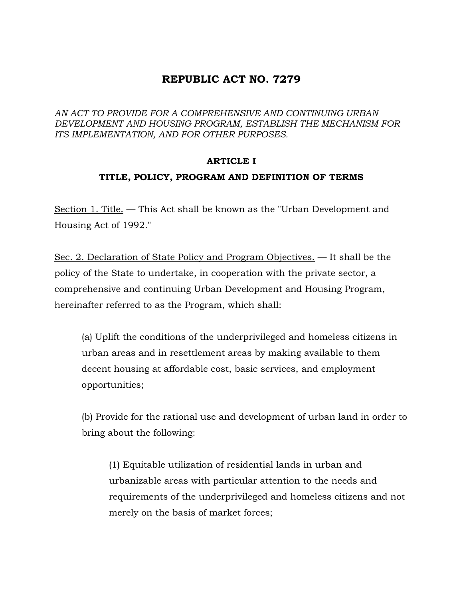### **REPUBLIC ACT NO. 7279**

*AN ACT TO PROVIDE FOR A COMPREHENSIVE AND CONTINUING URBAN DEVELOPMENT AND HOUSING PROGRAM, ESTABLISH THE MECHANISM FOR ITS IMPLEMENTATION, AND FOR OTHER PURPOSES.* 

### **ARTICLE I**

### **TITLE, POLICY, PROGRAM AND DEFINITION OF TERMS**

Section 1. Title. — This Act shall be known as the "Urban Development and Housing Act of 1992."

Sec. 2. Declaration of State Policy and Program Objectives. — It shall be the policy of the State to undertake, in cooperation with the private sector, a comprehensive and continuing Urban Development and Housing Program, hereinafter referred to as the Program, which shall:

(a) Uplift the conditions of the underprivileged and homeless citizens in urban areas and in resettlement areas by making available to them decent housing at affordable cost, basic services, and employment opportunities;

(b) Provide for the rational use and development of urban land in order to bring about the following:

(1) Equitable utilization of residential lands in urban and urbanizable areas with particular attention to the needs and requirements of the underprivileged and homeless citizens and not merely on the basis of market forces;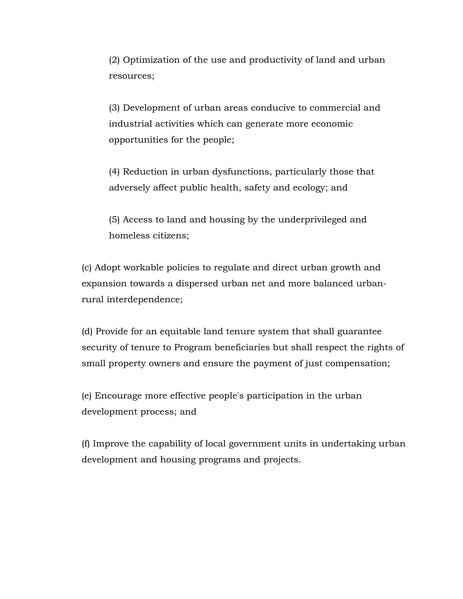(2) Optimization of the use and productivity of land and urban resources;

(3) Development of urban areas conducive to commercial and industrial activities which can generate more economic opportunities for the people;

(4) Reduction in urban dysfunctions, particularly those that adversely affect public health, safety and ecology; and

(5) Access to land and housing by the underprivileged and homeless citizens;

(c) Adopt workable policies to regulate and direct urban growth and expansion towards a dispersed urban net and more balanced urbanrural interdependence;

(d) Provide for an equitable land tenure system that shall guarantee security of tenure to Program beneficiaries but shall respect the rights of small property owners and ensure the payment of just compensation;

(e) Encourage more effective people's participation in the urban development process; and

(f) Improve the capability of local government units in undertaking urban development and housing programs and projects.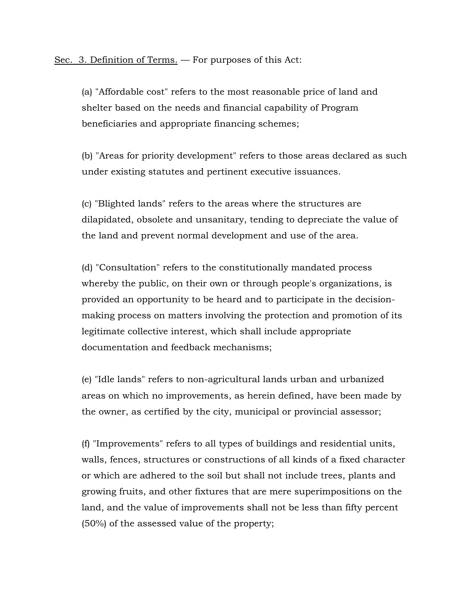Sec. 3. Definition of Terms. — For purposes of this Act:

(a) "Affordable cost" refers to the most reasonable price of land and shelter based on the needs and financial capability of Program beneficiaries and appropriate financing schemes;

(b) "Areas for priority development" refers to those areas declared as such under existing statutes and pertinent executive issuances.

(c) "Blighted lands" refers to the areas where the structures are dilapidated, obsolete and unsanitary, tending to depreciate the value of the land and prevent normal development and use of the area.

(d) "Consultation" refers to the constitutionally mandated process whereby the public, on their own or through people's organizations, is provided an opportunity to be heard and to participate in the decisionmaking process on matters involving the protection and promotion of its legitimate collective interest, which shall include appropriate documentation and feedback mechanisms;

(e) "Idle lands" refers to non-agricultural lands urban and urbanized areas on which no improvements, as herein defined, have been made by the owner, as certified by the city, municipal or provincial assessor;

(f) "Improvements" refers to all types of buildings and residential units, walls, fences, structures or constructions of all kinds of a fixed character or which are adhered to the soil but shall not include trees, plants and growing fruits, and other fixtures that are mere superimpositions on the land, and the value of improvements shall not be less than fifty percent (50%) of the assessed value of the property;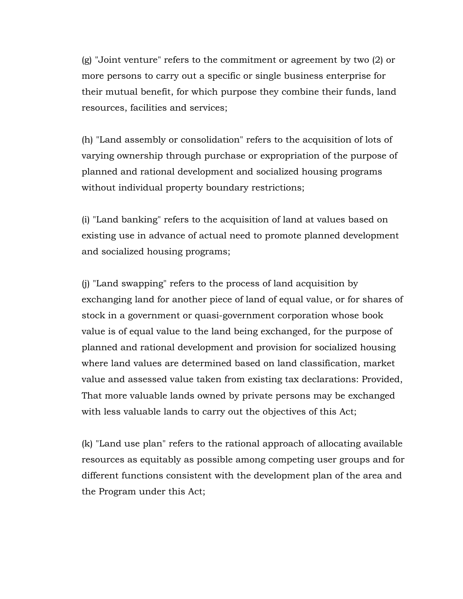(g) "Joint venture" refers to the commitment or agreement by two (2) or more persons to carry out a specific or single business enterprise for their mutual benefit, for which purpose they combine their funds, land resources, facilities and services;

(h) "Land assembly or consolidation" refers to the acquisition of lots of varying ownership through purchase or expropriation of the purpose of planned and rational development and socialized housing programs without individual property boundary restrictions;

(i) "Land banking" refers to the acquisition of land at values based on existing use in advance of actual need to promote planned development and socialized housing programs;

(j) "Land swapping" refers to the process of land acquisition by exchanging land for another piece of land of equal value, or for shares of stock in a government or quasi-government corporation whose book value is of equal value to the land being exchanged, for the purpose of planned and rational development and provision for socialized housing where land values are determined based on land classification, market value and assessed value taken from existing tax declarations: Provided, That more valuable lands owned by private persons may be exchanged with less valuable lands to carry out the objectives of this Act;

(k) "Land use plan" refers to the rational approach of allocating available resources as equitably as possible among competing user groups and for different functions consistent with the development plan of the area and the Program under this Act;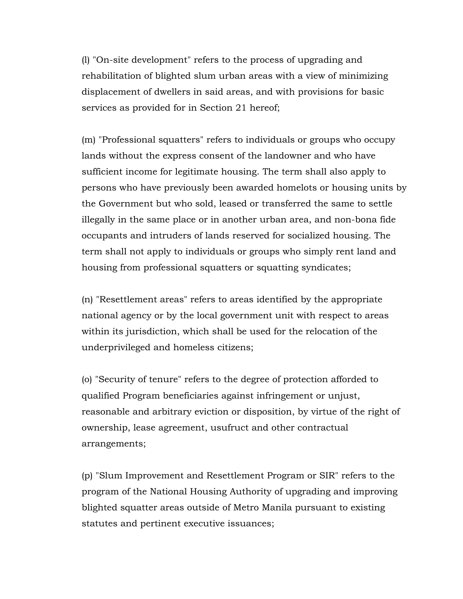(l) "On-site development" refers to the process of upgrading and rehabilitation of blighted slum urban areas with a view of minimizing displacement of dwellers in said areas, and with provisions for basic services as provided for in Section 21 hereof;

(m) "Professional squatters" refers to individuals or groups who occupy lands without the express consent of the landowner and who have sufficient income for legitimate housing. The term shall also apply to persons who have previously been awarded homelots or housing units by the Government but who sold, leased or transferred the same to settle illegally in the same place or in another urban area, and non-bona fide occupants and intruders of lands reserved for socialized housing. The term shall not apply to individuals or groups who simply rent land and housing from professional squatters or squatting syndicates;

(n) "Resettlement areas" refers to areas identified by the appropriate national agency or by the local government unit with respect to areas within its jurisdiction, which shall be used for the relocation of the underprivileged and homeless citizens;

(o) "Security of tenure" refers to the degree of protection afforded to qualified Program beneficiaries against infringement or unjust, reasonable and arbitrary eviction or disposition, by virtue of the right of ownership, lease agreement, usufruct and other contractual arrangements;

(p) "Slum Improvement and Resettlement Program or SIR" refers to the program of the National Housing Authority of upgrading and improving blighted squatter areas outside of Metro Manila pursuant to existing statutes and pertinent executive issuances;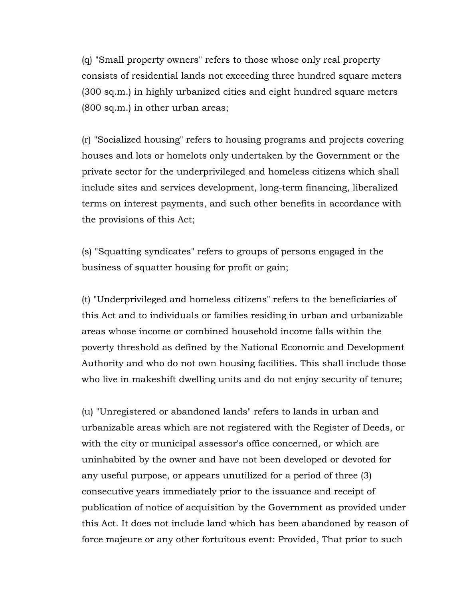(q) "Small property owners" refers to those whose only real property consists of residential lands not exceeding three hundred square meters (300 sq.m.) in highly urbanized cities and eight hundred square meters (800 sq.m.) in other urban areas;

(r) "Socialized housing" refers to housing programs and projects covering houses and lots or homelots only undertaken by the Government or the private sector for the underprivileged and homeless citizens which shall include sites and services development, long-term financing, liberalized terms on interest payments, and such other benefits in accordance with the provisions of this Act;

(s) "Squatting syndicates" refers to groups of persons engaged in the business of squatter housing for profit or gain;

(t) "Underprivileged and homeless citizens" refers to the beneficiaries of this Act and to individuals or families residing in urban and urbanizable areas whose income or combined household income falls within the poverty threshold as defined by the National Economic and Development Authority and who do not own housing facilities. This shall include those who live in makeshift dwelling units and do not enjoy security of tenure;

(u) "Unregistered or abandoned lands" refers to lands in urban and urbanizable areas which are not registered with the Register of Deeds, or with the city or municipal assessor's office concerned, or which are uninhabited by the owner and have not been developed or devoted for any useful purpose, or appears unutilized for a period of three (3) consecutive years immediately prior to the issuance and receipt of publication of notice of acquisition by the Government as provided under this Act. It does not include land which has been abandoned by reason of force majeure or any other fortuitous event: Provided, That prior to such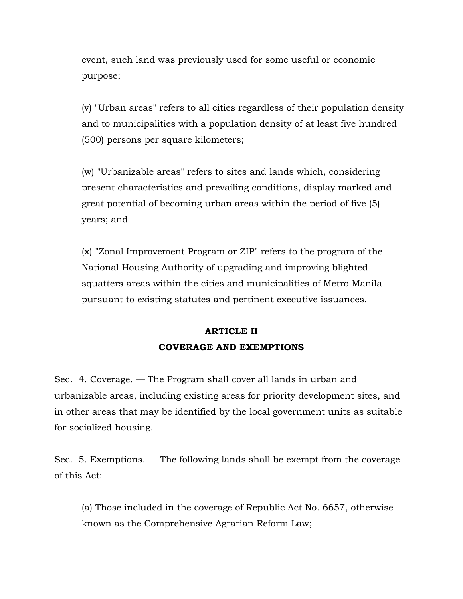event, such land was previously used for some useful or economic purpose;

(v) "Urban areas" refers to all cities regardless of their population density and to municipalities with a population density of at least five hundred (500) persons per square kilometers;

(w) "Urbanizable areas" refers to sites and lands which, considering present characteristics and prevailing conditions, display marked and great potential of becoming urban areas within the period of five (5) years; and

(x) "Zonal Improvement Program or ZIP" refers to the program of the National Housing Authority of upgrading and improving blighted squatters areas within the cities and municipalities of Metro Manila pursuant to existing statutes and pertinent executive issuances.

## **ARTICLE II COVERAGE AND EXEMPTIONS**

Sec. 4. Coverage. — The Program shall cover all lands in urban and urbanizable areas, including existing areas for priority development sites, and in other areas that may be identified by the local government units as suitable for socialized housing.

Sec. 5. Exemptions. — The following lands shall be exempt from the coverage of this Act:

(a) Those included in the coverage of Republic Act No. 6657, otherwise known as the Comprehensive Agrarian Reform Law;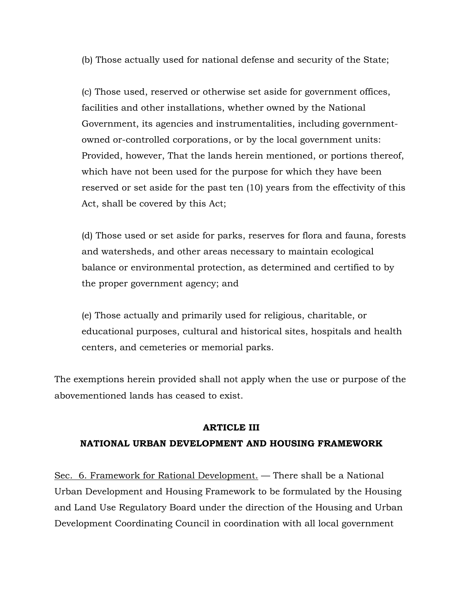(b) Those actually used for national defense and security of the State;

(c) Those used, reserved or otherwise set aside for government offices, facilities and other installations, whether owned by the National Government, its agencies and instrumentalities, including governmentowned or-controlled corporations, or by the local government units: Provided, however, That the lands herein mentioned, or portions thereof, which have not been used for the purpose for which they have been reserved or set aside for the past ten (10) years from the effectivity of this Act, shall be covered by this Act;

(d) Those used or set aside for parks, reserves for flora and fauna, forests and watersheds, and other areas necessary to maintain ecological balance or environmental protection, as determined and certified to by the proper government agency; and

(e) Those actually and primarily used for religious, charitable, or educational purposes, cultural and historical sites, hospitals and health centers, and cemeteries or memorial parks.

The exemptions herein provided shall not apply when the use or purpose of the abovementioned lands has ceased to exist.

#### **ARTICLE III**

### **NATIONAL URBAN DEVELOPMENT AND HOUSING FRAMEWORK**

Sec. 6. Framework for Rational Development. — There shall be a National Urban Development and Housing Framework to be formulated by the Housing and Land Use Regulatory Board under the direction of the Housing and Urban Development Coordinating Council in coordination with all local government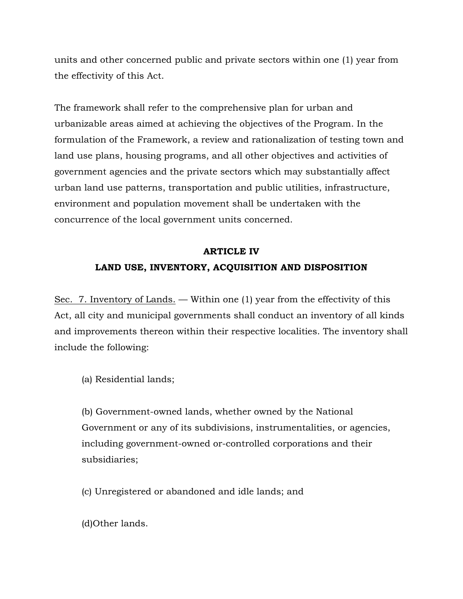units and other concerned public and private sectors within one (1) year from the effectivity of this Act.

The framework shall refer to the comprehensive plan for urban and urbanizable areas aimed at achieving the objectives of the Program. In the formulation of the Framework, a review and rationalization of testing town and land use plans, housing programs, and all other objectives and activities of government agencies and the private sectors which may substantially affect urban land use patterns, transportation and public utilities, infrastructure, environment and population movement shall be undertaken with the concurrence of the local government units concerned.

# **ARTICLE IV LAND USE, INVENTORY, ACQUISITION AND DISPOSITION**

Sec. 7. Inventory of Lands. — Within one (1) year from the effectivity of this Act, all city and municipal governments shall conduct an inventory of all kinds and improvements thereon within their respective localities. The inventory shall include the following:

(a) Residential lands;

(b) Government-owned lands, whether owned by the National Government or any of its subdivisions, instrumentalities, or agencies, including government-owned or-controlled corporations and their subsidiaries;

(c) Unregistered or abandoned and idle lands; and

(d)Other lands.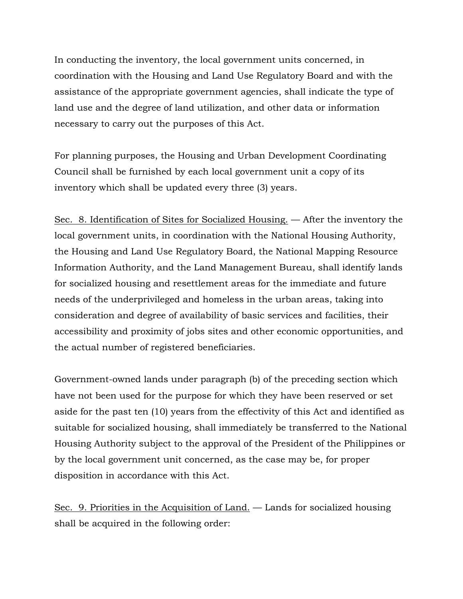In conducting the inventory, the local government units concerned, in coordination with the Housing and Land Use Regulatory Board and with the assistance of the appropriate government agencies, shall indicate the type of land use and the degree of land utilization, and other data or information necessary to carry out the purposes of this Act.

For planning purposes, the Housing and Urban Development Coordinating Council shall be furnished by each local government unit a copy of its inventory which shall be updated every three (3) years.

Sec. 8. Identification of Sites for Socialized Housing. — After the inventory the local government units, in coordination with the National Housing Authority, the Housing and Land Use Regulatory Board, the National Mapping Resource Information Authority, and the Land Management Bureau, shall identify lands for socialized housing and resettlement areas for the immediate and future needs of the underprivileged and homeless in the urban areas, taking into consideration and degree of availability of basic services and facilities, their accessibility and proximity of jobs sites and other economic opportunities, and the actual number of registered beneficiaries.

Government-owned lands under paragraph (b) of the preceding section which have not been used for the purpose for which they have been reserved or set aside for the past ten (10) years from the effectivity of this Act and identified as suitable for socialized housing, shall immediately be transferred to the National Housing Authority subject to the approval of the President of the Philippines or by the local government unit concerned, as the case may be, for proper disposition in accordance with this Act.

Sec. 9. Priorities in the Acquisition of Land. — Lands for socialized housing shall be acquired in the following order: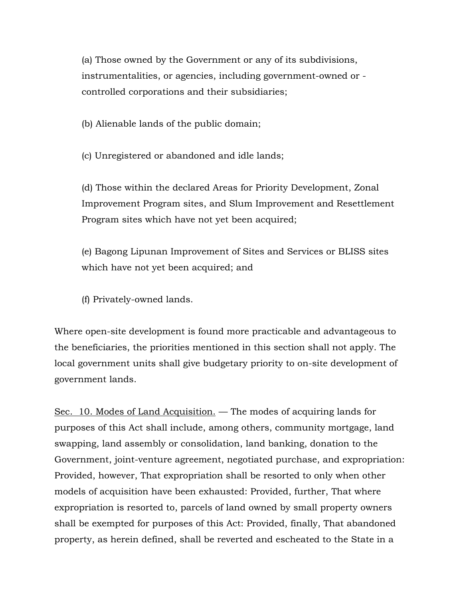(a) Those owned by the Government or any of its subdivisions, instrumentalities, or agencies, including government-owned or controlled corporations and their subsidiaries;

(b) Alienable lands of the public domain;

(c) Unregistered or abandoned and idle lands;

(d) Those within the declared Areas for Priority Development, Zonal Improvement Program sites, and Slum Improvement and Resettlement Program sites which have not yet been acquired;

(e) Bagong Lipunan Improvement of Sites and Services or BLISS sites which have not yet been acquired; and

(f) Privately-owned lands.

Where open-site development is found more practicable and advantageous to the beneficiaries, the priorities mentioned in this section shall not apply. The local government units shall give budgetary priority to on-site development of government lands.

Sec. 10. Modes of Land Acquisition. — The modes of acquiring lands for purposes of this Act shall include, among others, community mortgage, land swapping, land assembly or consolidation, land banking, donation to the Government, joint-venture agreement, negotiated purchase, and expropriation: Provided, however, That expropriation shall be resorted to only when other models of acquisition have been exhausted: Provided, further, That where expropriation is resorted to, parcels of land owned by small property owners shall be exempted for purposes of this Act: Provided, finally, That abandoned property, as herein defined, shall be reverted and escheated to the State in a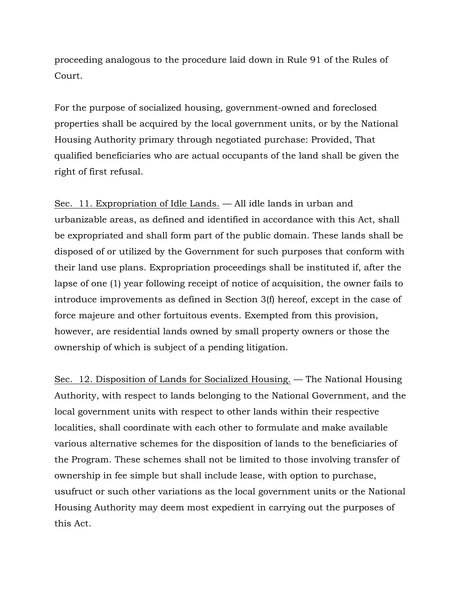proceeding analogous to the procedure laid down in Rule 91 of the Rules of Court.

For the purpose of socialized housing, government-owned and foreclosed properties shall be acquired by the local government units, or by the National Housing Authority primary through negotiated purchase: Provided, That qualified beneficiaries who are actual occupants of the land shall be given the right of first refusal.

Sec. 11. Expropriation of Idle Lands. — All idle lands in urban and urbanizable areas, as defined and identified in accordance with this Act, shall be expropriated and shall form part of the public domain. These lands shall be disposed of or utilized by the Government for such purposes that conform with their land use plans. Expropriation proceedings shall be instituted if, after the lapse of one (1) year following receipt of notice of acquisition, the owner fails to introduce improvements as defined in Section 3(f) hereof, except in the case of force majeure and other fortuitous events. Exempted from this provision, however, are residential lands owned by small property owners or those the ownership of which is subject of a pending litigation.

Sec. 12. Disposition of Lands for Socialized Housing. — The National Housing Authority, with respect to lands belonging to the National Government, and the local government units with respect to other lands within their respective localities, shall coordinate with each other to formulate and make available various alternative schemes for the disposition of lands to the beneficiaries of the Program. These schemes shall not be limited to those involving transfer of ownership in fee simple but shall include lease, with option to purchase, usufruct or such other variations as the local government units or the National Housing Authority may deem most expedient in carrying out the purposes of this Act.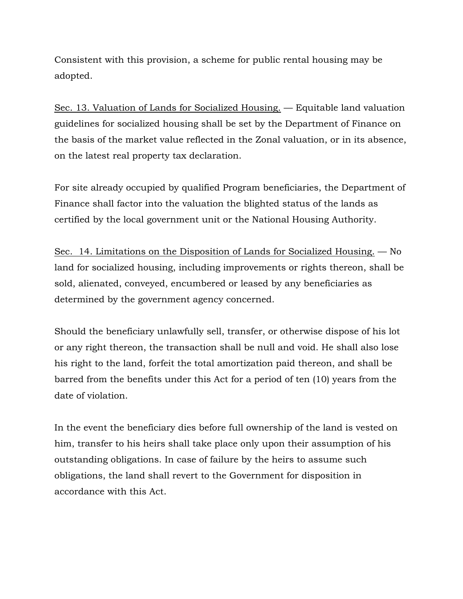Consistent with this provision, a scheme for public rental housing may be adopted.

Sec. 13. Valuation of Lands for Socialized Housing. — Equitable land valuation guidelines for socialized housing shall be set by the Department of Finance on the basis of the market value reflected in the Zonal valuation, or in its absence, on the latest real property tax declaration.

For site already occupied by qualified Program beneficiaries, the Department of Finance shall factor into the valuation the blighted status of the lands as certified by the local government unit or the National Housing Authority.

Sec. 14. Limitations on the Disposition of Lands for Socialized Housing. — No land for socialized housing, including improvements or rights thereon, shall be sold, alienated, conveyed, encumbered or leased by any beneficiaries as determined by the government agency concerned.

Should the beneficiary unlawfully sell, transfer, or otherwise dispose of his lot or any right thereon, the transaction shall be null and void. He shall also lose his right to the land, forfeit the total amortization paid thereon, and shall be barred from the benefits under this Act for a period of ten (10) years from the date of violation.

In the event the beneficiary dies before full ownership of the land is vested on him, transfer to his heirs shall take place only upon their assumption of his outstanding obligations. In case of failure by the heirs to assume such obligations, the land shall revert to the Government for disposition in accordance with this Act.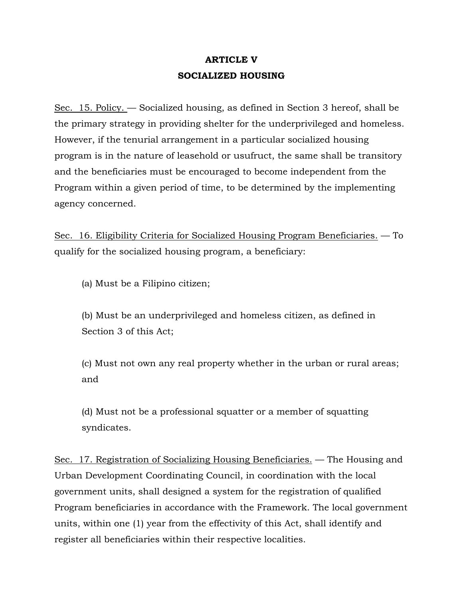## **ARTICLE V SOCIALIZED HOUSING**

Sec. 15. Policy. — Socialized housing, as defined in Section 3 hereof, shall be the primary strategy in providing shelter for the underprivileged and homeless. However, if the tenurial arrangement in a particular socialized housing program is in the nature of leasehold or usufruct, the same shall be transitory and the beneficiaries must be encouraged to become independent from the Program within a given period of time, to be determined by the implementing agency concerned.

Sec. 16. Eligibility Criteria for Socialized Housing Program Beneficiaries. — To qualify for the socialized housing program, a beneficiary:

(a) Must be a Filipino citizen;

(b) Must be an underprivileged and homeless citizen, as defined in Section 3 of this Act;

(c) Must not own any real property whether in the urban or rural areas; and

(d) Must not be a professional squatter or a member of squatting syndicates.

Sec. 17. Registration of Socializing Housing Beneficiaries. — The Housing and Urban Development Coordinating Council, in coordination with the local government units, shall designed a system for the registration of qualified Program beneficiaries in accordance with the Framework. The local government units, within one (1) year from the effectivity of this Act, shall identify and register all beneficiaries within their respective localities.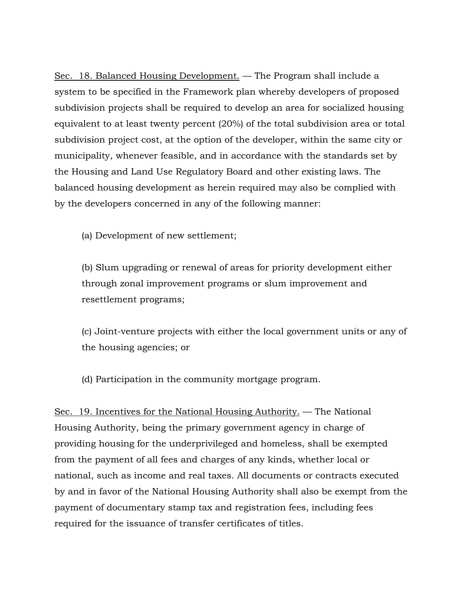Sec. 18. Balanced Housing Development. — The Program shall include a system to be specified in the Framework plan whereby developers of proposed subdivision projects shall be required to develop an area for socialized housing equivalent to at least twenty percent (20%) of the total subdivision area or total subdivision project cost, at the option of the developer, within the same city or municipality, whenever feasible, and in accordance with the standards set by the Housing and Land Use Regulatory Board and other existing laws. The balanced housing development as herein required may also be complied with by the developers concerned in any of the following manner:

(a) Development of new settlement;

(b) Slum upgrading or renewal of areas for priority development either through zonal improvement programs or slum improvement and resettlement programs;

(c) Joint-venture projects with either the local government units or any of the housing agencies; or

(d) Participation in the community mortgage program.

Sec. 19. Incentives for the National Housing Authority. — The National Housing Authority, being the primary government agency in charge of providing housing for the underprivileged and homeless, shall be exempted from the payment of all fees and charges of any kinds, whether local or national, such as income and real taxes. All documents or contracts executed by and in favor of the National Housing Authority shall also be exempt from the payment of documentary stamp tax and registration fees, including fees required for the issuance of transfer certificates of titles.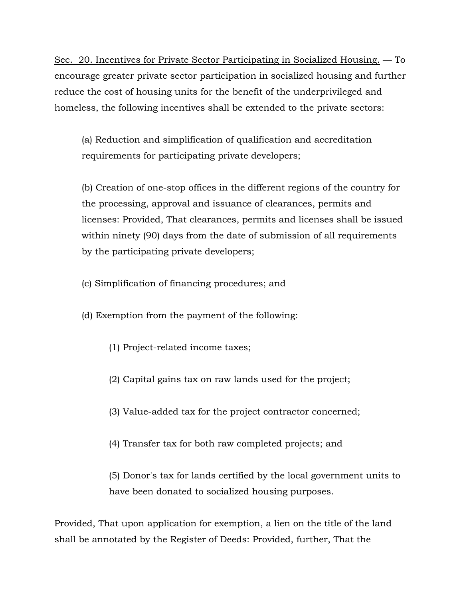Sec. 20. Incentives for Private Sector Participating in Socialized Housing. — To encourage greater private sector participation in socialized housing and further reduce the cost of housing units for the benefit of the underprivileged and homeless, the following incentives shall be extended to the private sectors:

(a) Reduction and simplification of qualification and accreditation requirements for participating private developers;

(b) Creation of one-stop offices in the different regions of the country for the processing, approval and issuance of clearances, permits and licenses: Provided, That clearances, permits and licenses shall be issued within ninety (90) days from the date of submission of all requirements by the participating private developers;

- (c) Simplification of financing procedures; and
- (d) Exemption from the payment of the following:
	- (1) Project-related income taxes;
	- (2) Capital gains tax on raw lands used for the project;
	- (3) Value-added tax for the project contractor concerned;
	- (4) Transfer tax for both raw completed projects; and

(5) Donor's tax for lands certified by the local government units to have been donated to socialized housing purposes.

Provided, That upon application for exemption, a lien on the title of the land shall be annotated by the Register of Deeds: Provided, further, That the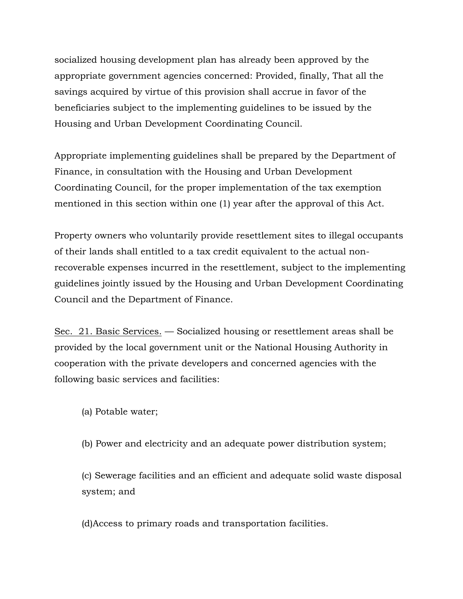socialized housing development plan has already been approved by the appropriate government agencies concerned: Provided, finally, That all the savings acquired by virtue of this provision shall accrue in favor of the beneficiaries subject to the implementing guidelines to be issued by the Housing and Urban Development Coordinating Council.

Appropriate implementing guidelines shall be prepared by the Department of Finance, in consultation with the Housing and Urban Development Coordinating Council, for the proper implementation of the tax exemption mentioned in this section within one (1) year after the approval of this Act.

Property owners who voluntarily provide resettlement sites to illegal occupants of their lands shall entitled to a tax credit equivalent to the actual nonrecoverable expenses incurred in the resettlement, subject to the implementing guidelines jointly issued by the Housing and Urban Development Coordinating Council and the Department of Finance.

Sec. 21. Basic Services. — Socialized housing or resettlement areas shall be provided by the local government unit or the National Housing Authority in cooperation with the private developers and concerned agencies with the following basic services and facilities:

- (a) Potable water;
- (b) Power and electricity and an adequate power distribution system;

(c) Sewerage facilities and an efficient and adequate solid waste disposal system; and

(d)Access to primary roads and transportation facilities.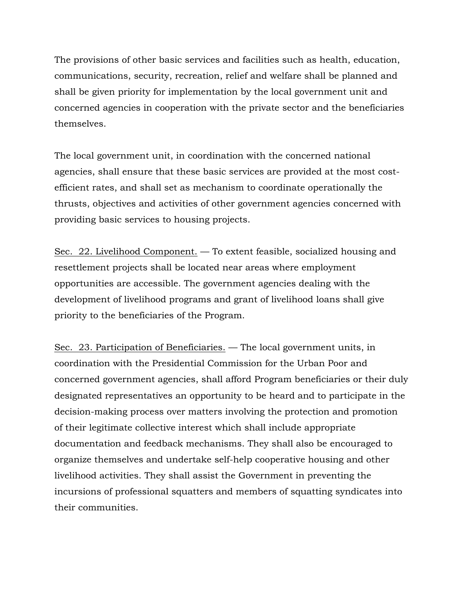The provisions of other basic services and facilities such as health, education, communications, security, recreation, relief and welfare shall be planned and shall be given priority for implementation by the local government unit and concerned agencies in cooperation with the private sector and the beneficiaries themselves.

The local government unit, in coordination with the concerned national agencies, shall ensure that these basic services are provided at the most costefficient rates, and shall set as mechanism to coordinate operationally the thrusts, objectives and activities of other government agencies concerned with providing basic services to housing projects.

Sec. 22. Livelihood Component. — To extent feasible, socialized housing and resettlement projects shall be located near areas where employment opportunities are accessible. The government agencies dealing with the development of livelihood programs and grant of livelihood loans shall give priority to the beneficiaries of the Program.

Sec. 23. Participation of Beneficiaries. — The local government units, in coordination with the Presidential Commission for the Urban Poor and concerned government agencies, shall afford Program beneficiaries or their duly designated representatives an opportunity to be heard and to participate in the decision-making process over matters involving the protection and promotion of their legitimate collective interest which shall include appropriate documentation and feedback mechanisms. They shall also be encouraged to organize themselves and undertake self-help cooperative housing and other livelihood activities. They shall assist the Government in preventing the incursions of professional squatters and members of squatting syndicates into their communities.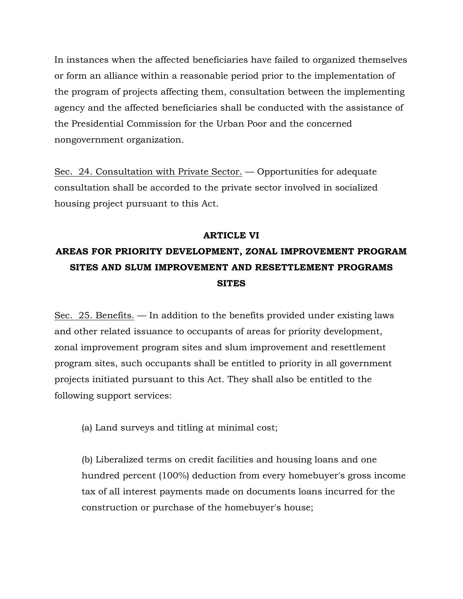In instances when the affected beneficiaries have failed to organized themselves or form an alliance within a reasonable period prior to the implementation of the program of projects affecting them, consultation between the implementing agency and the affected beneficiaries shall be conducted with the assistance of the Presidential Commission for the Urban Poor and the concerned nongovernment organization.

Sec. 24. Consultation with Private Sector. — Opportunities for adequate consultation shall be accorded to the private sector involved in socialized housing project pursuant to this Act.

#### **ARTICLE VI**

## **AREAS FOR PRIORITY DEVELOPMENT, ZONAL IMPROVEMENT PROGRAM SITES AND SLUM IMPROVEMENT AND RESETTLEMENT PROGRAMS SITES**

Sec. 25. Benefits. — In addition to the benefits provided under existing laws and other related issuance to occupants of areas for priority development, zonal improvement program sites and slum improvement and resettlement program sites, such occupants shall be entitled to priority in all government projects initiated pursuant to this Act. They shall also be entitled to the following support services:

(a) Land surveys and titling at minimal cost;

(b) Liberalized terms on credit facilities and housing loans and one hundred percent (100%) deduction from every homebuyer's gross income tax of all interest payments made on documents loans incurred for the construction or purchase of the homebuyer's house;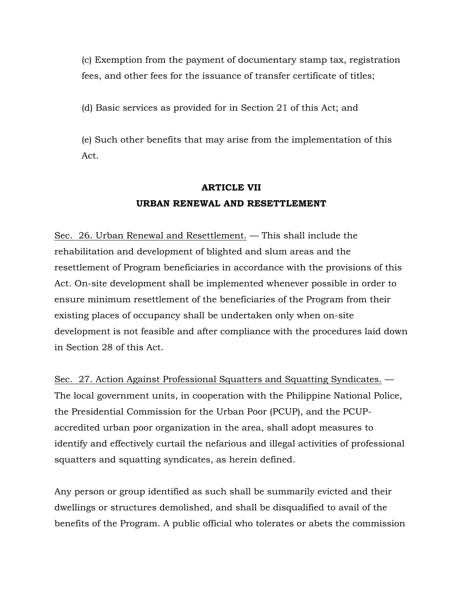(c) Exemption from the payment of documentary stamp tax, registration fees, and other fees for the issuance of transfer certificate of titles;

(d) Basic services as provided for in Section 21 of this Act; and

(e) Such other benefits that may arise from the implementation of this Act.

## **ARTICLE VII URBAN RENEWAL AND RESETTLEMENT**

Sec. 26. Urban Renewal and Resettlement. — This shall include the rehabilitation and development of blighted and slum areas and the resettlement of Program beneficiaries in accordance with the provisions of this Act. On-site development shall be implemented whenever possible in order to ensure minimum resettlement of the beneficiaries of the Program from their existing places of occupancy shall be undertaken only when on-site development is not feasible and after compliance with the procedures laid down in Section 28 of this Act.

Sec. 27. Action Against Professional Squatters and Squatting Syndicates. — The local government units, in cooperation with the Philippine National Police, the Presidential Commission for the Urban Poor (PCUP), and the PCUPaccredited urban poor organization in the area, shall adopt measures to identify and effectively curtail the nefarious and illegal activities of professional squatters and squatting syndicates, as herein defined.

Any person or group identified as such shall be summarily evicted and their dwellings or structures demolished, and shall be disqualified to avail of the benefits of the Program. A public official who tolerates or abets the commission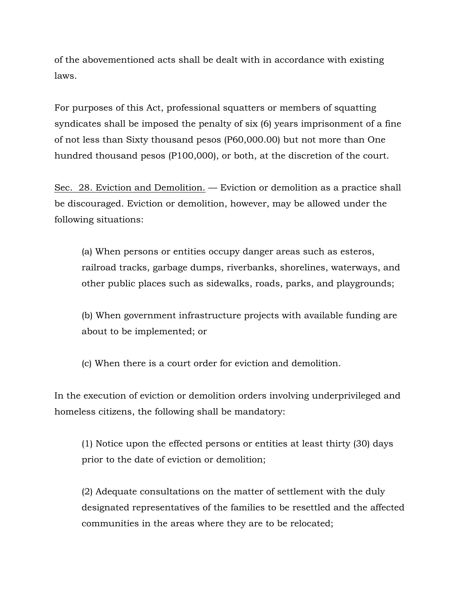of the abovementioned acts shall be dealt with in accordance with existing laws.

For purposes of this Act, professional squatters or members of squatting syndicates shall be imposed the penalty of six (6) years imprisonment of a fine of not less than Sixty thousand pesos (P60,000.00) but not more than One hundred thousand pesos (P100,000), or both, at the discretion of the court.

Sec. 28. Eviction and Demolition. — Eviction or demolition as a practice shall be discouraged. Eviction or demolition, however, may be allowed under the following situations:

(a) When persons or entities occupy danger areas such as esteros, railroad tracks, garbage dumps, riverbanks, shorelines, waterways, and other public places such as sidewalks, roads, parks, and playgrounds;

(b) When government infrastructure projects with available funding are about to be implemented; or

(c) When there is a court order for eviction and demolition.

In the execution of eviction or demolition orders involving underprivileged and homeless citizens, the following shall be mandatory:

(1) Notice upon the effected persons or entities at least thirty (30) days prior to the date of eviction or demolition;

(2) Adequate consultations on the matter of settlement with the duly designated representatives of the families to be resettled and the affected communities in the areas where they are to be relocated;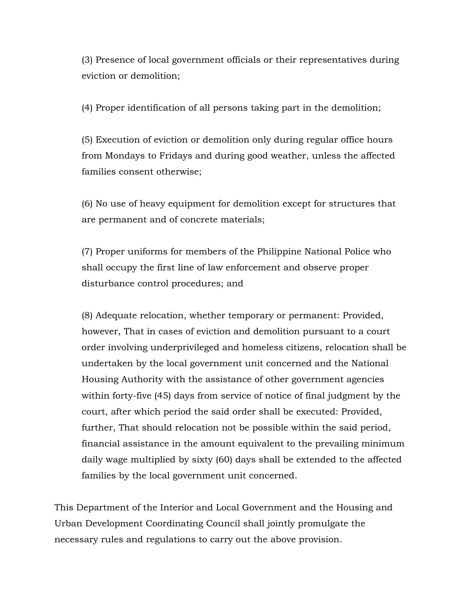(3) Presence of local government officials or their representatives during eviction or demolition;

(4) Proper identification of all persons taking part in the demolition;

(5) Execution of eviction or demolition only during regular office hours from Mondays to Fridays and during good weather, unless the affected families consent otherwise;

(6) No use of heavy equipment for demolition except for structures that are permanent and of concrete materials;

(7) Proper uniforms for members of the Philippine National Police who shall occupy the first line of law enforcement and observe proper disturbance control procedures; and

(8) Adequate relocation, whether temporary or permanent: Provided, however, That in cases of eviction and demolition pursuant to a court order involving underprivileged and homeless citizens, relocation shall be undertaken by the local government unit concerned and the National Housing Authority with the assistance of other government agencies within forty-five (45) days from service of notice of final judgment by the court, after which period the said order shall be executed: Provided, further, That should relocation not be possible within the said period, financial assistance in the amount equivalent to the prevailing minimum daily wage multiplied by sixty (60) days shall be extended to the affected families by the local government unit concerned.

This Department of the Interior and Local Government and the Housing and Urban Development Coordinating Council shall jointly promulgate the necessary rules and regulations to carry out the above provision.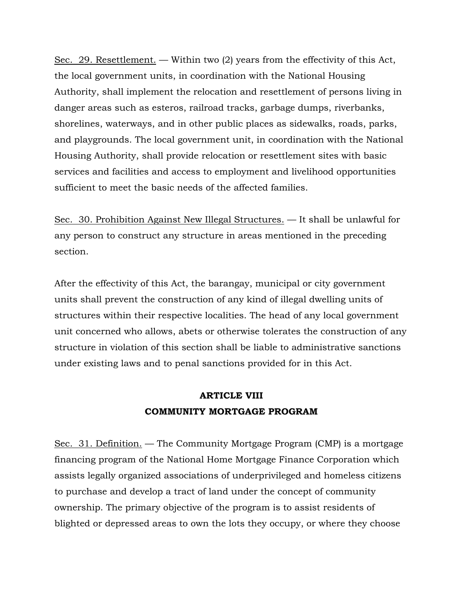Sec. 29. Resettlement. — Within two (2) years from the effectivity of this Act, the local government units, in coordination with the National Housing Authority, shall implement the relocation and resettlement of persons living in danger areas such as esteros, railroad tracks, garbage dumps, riverbanks, shorelines, waterways, and in other public places as sidewalks, roads, parks, and playgrounds. The local government unit, in coordination with the National Housing Authority, shall provide relocation or resettlement sites with basic services and facilities and access to employment and livelihood opportunities sufficient to meet the basic needs of the affected families.

Sec. 30. Prohibition Against New Illegal Structures. — It shall be unlawful for any person to construct any structure in areas mentioned in the preceding section.

After the effectivity of this Act, the barangay, municipal or city government units shall prevent the construction of any kind of illegal dwelling units of structures within their respective localities. The head of any local government unit concerned who allows, abets or otherwise tolerates the construction of any structure in violation of this section shall be liable to administrative sanctions under existing laws and to penal sanctions provided for in this Act.

## **ARTICLE VIII COMMUNITY MORTGAGE PROGRAM**

Sec. 31. Definition. — The Community Mortgage Program (CMP) is a mortgage financing program of the National Home Mortgage Finance Corporation which assists legally organized associations of underprivileged and homeless citizens to purchase and develop a tract of land under the concept of community ownership. The primary objective of the program is to assist residents of blighted or depressed areas to own the lots they occupy, or where they choose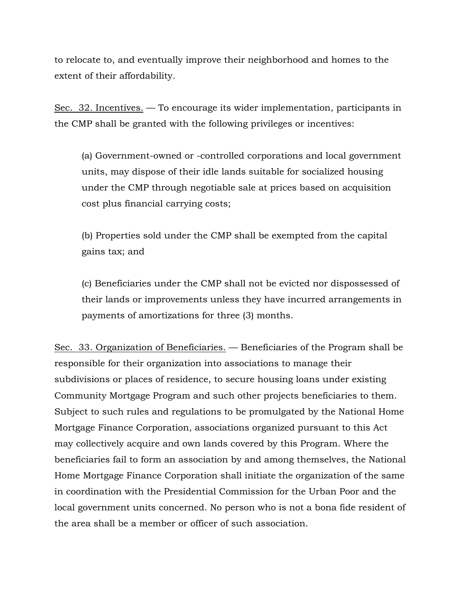to relocate to, and eventually improve their neighborhood and homes to the extent of their affordability.

Sec. 32. Incentives. — To encourage its wider implementation, participants in the CMP shall be granted with the following privileges or incentives:

(a) Government-owned or -controlled corporations and local government units, may dispose of their idle lands suitable for socialized housing under the CMP through negotiable sale at prices based on acquisition cost plus financial carrying costs;

(b) Properties sold under the CMP shall be exempted from the capital gains tax; and

(c) Beneficiaries under the CMP shall not be evicted nor dispossessed of their lands or improvements unless they have incurred arrangements in payments of amortizations for three (3) months.

Sec. 33. Organization of Beneficiaries. — Beneficiaries of the Program shall be responsible for their organization into associations to manage their subdivisions or places of residence, to secure housing loans under existing Community Mortgage Program and such other projects beneficiaries to them. Subject to such rules and regulations to be promulgated by the National Home Mortgage Finance Corporation, associations organized pursuant to this Act may collectively acquire and own lands covered by this Program. Where the beneficiaries fail to form an association by and among themselves, the National Home Mortgage Finance Corporation shall initiate the organization of the same in coordination with the Presidential Commission for the Urban Poor and the local government units concerned. No person who is not a bona fide resident of the area shall be a member or officer of such association.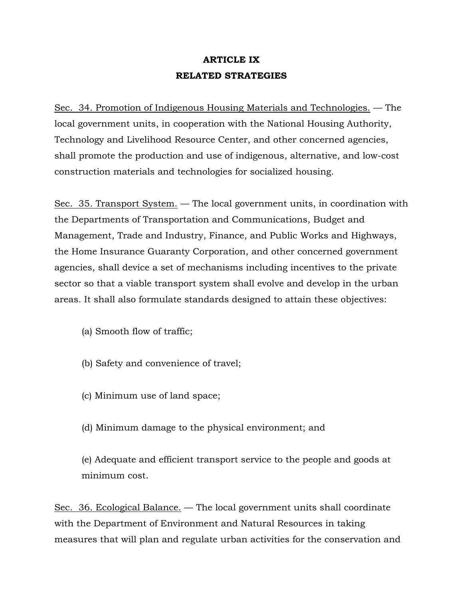## **ARTICLE IX RELATED STRATEGIES**

Sec. 34. Promotion of Indigenous Housing Materials and Technologies. — The local government units, in cooperation with the National Housing Authority, Technology and Livelihood Resource Center, and other concerned agencies, shall promote the production and use of indigenous, alternative, and low-cost construction materials and technologies for socialized housing.

Sec. 35. Transport System. — The local government units, in coordination with the Departments of Transportation and Communications, Budget and Management, Trade and Industry, Finance, and Public Works and Highways, the Home Insurance Guaranty Corporation, and other concerned government agencies, shall device a set of mechanisms including incentives to the private sector so that a viable transport system shall evolve and develop in the urban areas. It shall also formulate standards designed to attain these objectives:

- (a) Smooth flow of traffic;
- (b) Safety and convenience of travel;
- (c) Minimum use of land space;
- (d) Minimum damage to the physical environment; and

(e) Adequate and efficient transport service to the people and goods at minimum cost.

Sec. 36. Ecological Balance. — The local government units shall coordinate with the Department of Environment and Natural Resources in taking measures that will plan and regulate urban activities for the conservation and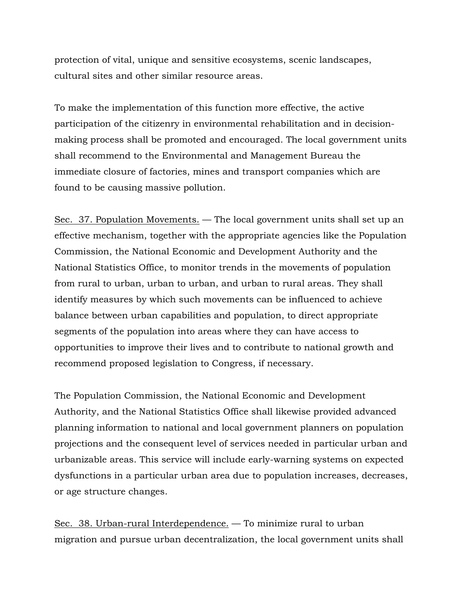protection of vital, unique and sensitive ecosystems, scenic landscapes, cultural sites and other similar resource areas.

To make the implementation of this function more effective, the active participation of the citizenry in environmental rehabilitation and in decisionmaking process shall be promoted and encouraged. The local government units shall recommend to the Environmental and Management Bureau the immediate closure of factories, mines and transport companies which are found to be causing massive pollution.

Sec. 37. Population Movements. — The local government units shall set up an effective mechanism, together with the appropriate agencies like the Population Commission, the National Economic and Development Authority and the National Statistics Office, to monitor trends in the movements of population from rural to urban, urban to urban, and urban to rural areas. They shall identify measures by which such movements can be influenced to achieve balance between urban capabilities and population, to direct appropriate segments of the population into areas where they can have access to opportunities to improve their lives and to contribute to national growth and recommend proposed legislation to Congress, if necessary.

The Population Commission, the National Economic and Development Authority, and the National Statistics Office shall likewise provided advanced planning information to national and local government planners on population projections and the consequent level of services needed in particular urban and urbanizable areas. This service will include early-warning systems on expected dysfunctions in a particular urban area due to population increases, decreases, or age structure changes.

Sec. 38. Urban-rural Interdependence. — To minimize rural to urban migration and pursue urban decentralization, the local government units shall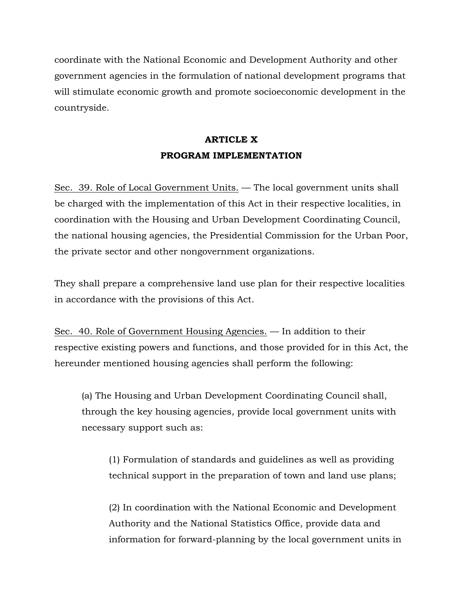coordinate with the National Economic and Development Authority and other government agencies in the formulation of national development programs that will stimulate economic growth and promote socioeconomic development in the countryside.

## **ARTICLE X PROGRAM IMPLEMENTATION**

Sec. 39. Role of Local Government Units. — The local government units shall be charged with the implementation of this Act in their respective localities, in coordination with the Housing and Urban Development Coordinating Council, the national housing agencies, the Presidential Commission for the Urban Poor, the private sector and other nongovernment organizations.

They shall prepare a comprehensive land use plan for their respective localities in accordance with the provisions of this Act.

Sec. 40. Role of Government Housing Agencies. — In addition to their respective existing powers and functions, and those provided for in this Act, the hereunder mentioned housing agencies shall perform the following:

(a) The Housing and Urban Development Coordinating Council shall, through the key housing agencies, provide local government units with necessary support such as:

(1) Formulation of standards and guidelines as well as providing technical support in the preparation of town and land use plans;

(2) In coordination with the National Economic and Development Authority and the National Statistics Office, provide data and information for forward-planning by the local government units in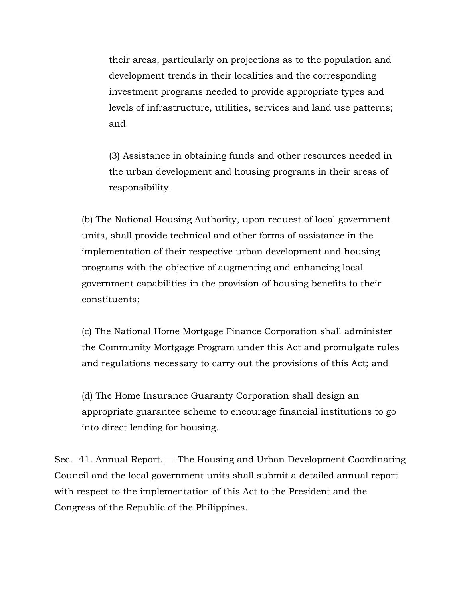their areas, particularly on projections as to the population and development trends in their localities and the corresponding investment programs needed to provide appropriate types and levels of infrastructure, utilities, services and land use patterns; and

(3) Assistance in obtaining funds and other resources needed in the urban development and housing programs in their areas of responsibility.

(b) The National Housing Authority, upon request of local government units, shall provide technical and other forms of assistance in the implementation of their respective urban development and housing programs with the objective of augmenting and enhancing local government capabilities in the provision of housing benefits to their constituents;

(c) The National Home Mortgage Finance Corporation shall administer the Community Mortgage Program under this Act and promulgate rules and regulations necessary to carry out the provisions of this Act; and

(d) The Home Insurance Guaranty Corporation shall design an appropriate guarantee scheme to encourage financial institutions to go into direct lending for housing.

Sec. 41. Annual Report. — The Housing and Urban Development Coordinating Council and the local government units shall submit a detailed annual report with respect to the implementation of this Act to the President and the Congress of the Republic of the Philippines.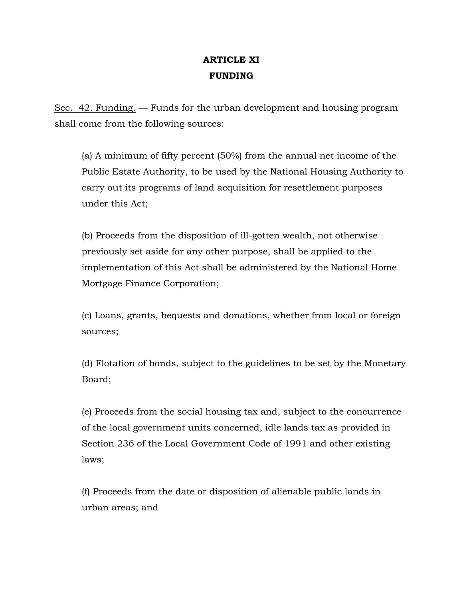## **ARTICLE XI FUNDING**

Sec. 42. Funding. — Funds for the urban development and housing program shall come from the following sources:

(a) A minimum of fifty percent (50%) from the annual net income of the Public Estate Authority, to be used by the National Housing Authority to carry out its programs of land acquisition for resettlement purposes under this Act;

(b) Proceeds from the disposition of ill-gotten wealth, not otherwise previously set aside for any other purpose, shall be applied to the implementation of this Act shall be administered by the National Home Mortgage Finance Corporation;

(c) Loans, grants, bequests and donations, whether from local or foreign sources;

(d) Flotation of bonds, subject to the guidelines to be set by the Monetary Board;

(e) Proceeds from the social housing tax and, subject to the concurrence of the local government units concerned, idle lands tax as provided in Section 236 of the Local Government Code of 1991 and other existing laws;

(f) Proceeds from the date or disposition of alienable public lands in urban areas; and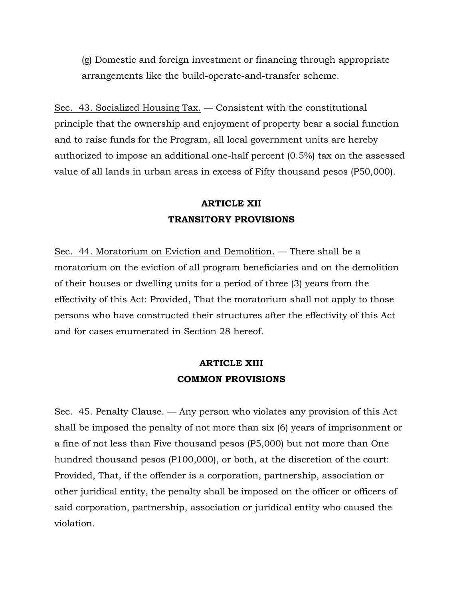(g) Domestic and foreign investment or financing through appropriate arrangements like the build-operate-and-transfer scheme.

Sec. 43. Socialized Housing Tax. — Consistent with the constitutional principle that the ownership and enjoyment of property bear a social function and to raise funds for the Program, all local government units are hereby authorized to impose an additional one-half percent (0.5%) tax on the assessed value of all lands in urban areas in excess of Fifty thousand pesos (P50,000).

## **ARTICLE XII TRANSITORY PROVISIONS**

Sec. 44. Moratorium on Eviction and Demolition. — There shall be a moratorium on the eviction of all program beneficiaries and on the demolition of their houses or dwelling units for a period of three (3) years from the effectivity of this Act: Provided, That the moratorium shall not apply to those persons who have constructed their structures after the effectivity of this Act and for cases enumerated in Section 28 hereof.

### **ARTICLE XIII COMMON PROVISIONS**

Sec. 45. Penalty Clause. — Any person who violates any provision of this Act shall be imposed the penalty of not more than six (6) years of imprisonment or a fine of not less than Five thousand pesos (P5,000) but not more than One hundred thousand pesos (P100,000), or both, at the discretion of the court: Provided, That, if the offender is a corporation, partnership, association or other juridical entity, the penalty shall be imposed on the officer or officers of said corporation, partnership, association or juridical entity who caused the violation.